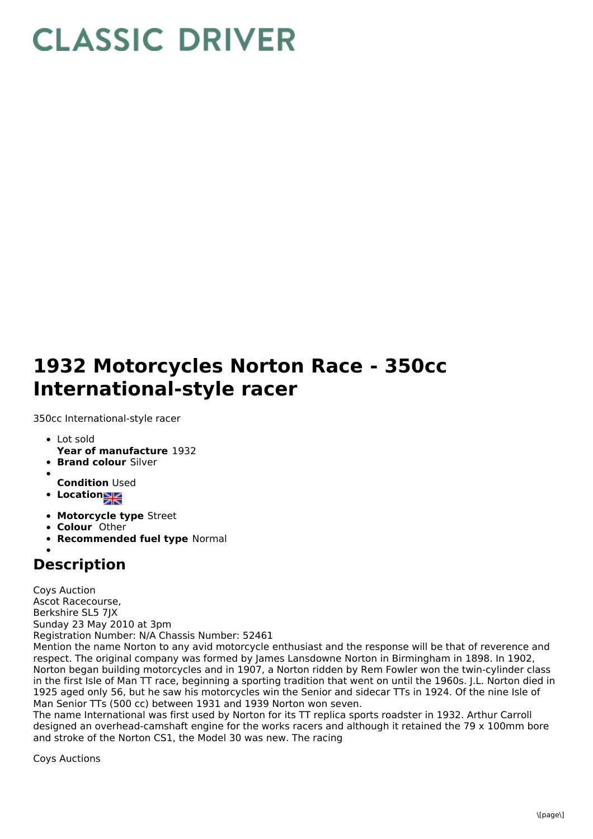## **CLASSIC DRIVER**

## **1932 Motorcycles Norton Race - 350cc International-style racer**

350cc International-style racer

- Lot sold
- **Year of manufacture** 1932
- **Brand colour** Silver
- **Condition** Used
- **Location**
- **Motorcycle type** Street
- **Colour** Other
- **Recommended fuel type** Normal

## **Description**

Coys Auction Ascot Racecourse, Berkshire SL5 7JX Sunday 23 May 2010 at 3pm Registration Number: N/A Chassis Number: 52461 Mention the name Norton to any avid motorcycle enthusiast and the response will be that of reverence and respect. The original company was formed by James Lansdowne Norton in Birmingham in 1898. In 1902, Norton began building motorcycles and in 1907, a Norton ridden by Rem Fowler won the twin-cylinder class in the first Isle of Man TT race, beginning a sporting tradition that went on until the 1960s. J.L. Norton died in

1925 aged only 56, but he saw his motorcycles win the Senior and sidecar TTs in 1924. Of the nine Isle of Man Senior TTs (500 cc) between 1931 and 1939 Norton won seven. The name International was first used by Norton for its TT replica sports roadster in 1932. Arthur Carroll designed an overhead-camshaft engine for the works racers and although it retained the 79 x 100mm bore and stroke of the Norton CS1, the Model 30 was new. The racing

Coys Auctions